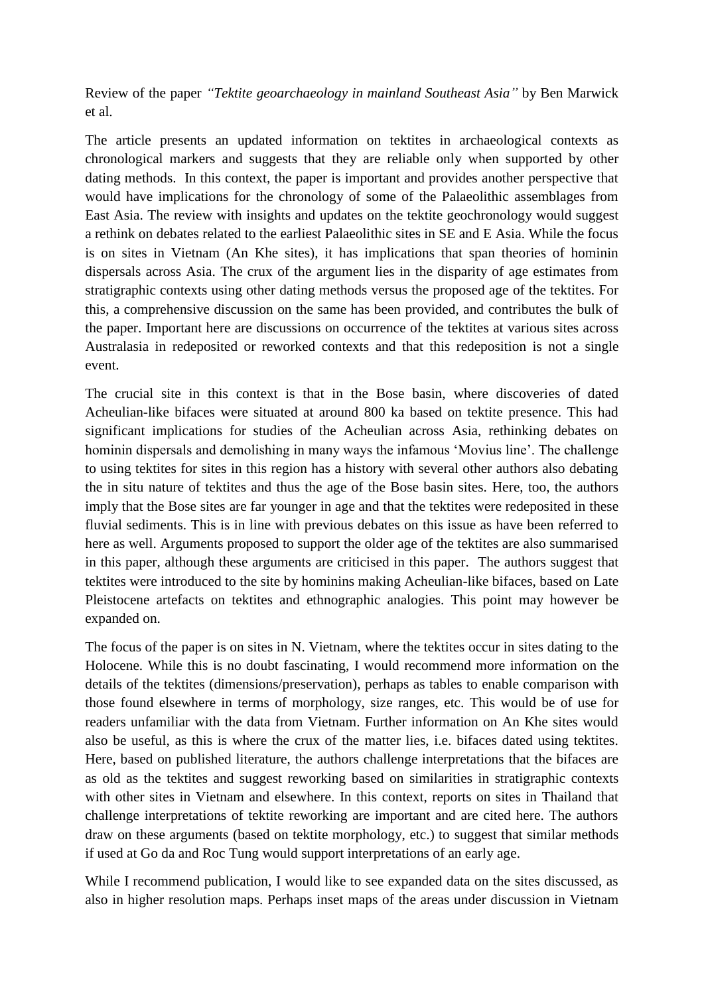Review of the paper *"Tektite geoarchaeology in mainland Southeast Asia"* by Ben Marwick et al.

The article presents an updated information on tektites in archaeological contexts as chronological markers and suggests that they are reliable only when supported by other dating methods. In this context, the paper is important and provides another perspective that would have implications for the chronology of some of the Palaeolithic assemblages from East Asia. The review with insights and updates on the tektite geochronology would suggest a rethink on debates related to the earliest Palaeolithic sites in SE and E Asia. While the focus is on sites in Vietnam (An Khe sites), it has implications that span theories of hominin dispersals across Asia. The crux of the argument lies in the disparity of age estimates from stratigraphic contexts using other dating methods versus the proposed age of the tektites. For this, a comprehensive discussion on the same has been provided, and contributes the bulk of the paper. Important here are discussions on occurrence of the tektites at various sites across Australasia in redeposited or reworked contexts and that this redeposition is not a single event.

The crucial site in this context is that in the Bose basin, where discoveries of dated Acheulian-like bifaces were situated at around 800 ka based on tektite presence. This had significant implications for studies of the Acheulian across Asia, rethinking debates on hominin dispersals and demolishing in many ways the infamous 'Movius line'. The challenge to using tektites for sites in this region has a history with several other authors also debating the in situ nature of tektites and thus the age of the Bose basin sites. Here, too, the authors imply that the Bose sites are far younger in age and that the tektites were redeposited in these fluvial sediments. This is in line with previous debates on this issue as have been referred to here as well. Arguments proposed to support the older age of the tektites are also summarised in this paper, although these arguments are criticised in this paper. The authors suggest that tektites were introduced to the site by hominins making Acheulian-like bifaces, based on Late Pleistocene artefacts on tektites and ethnographic analogies. This point may however be expanded on.

The focus of the paper is on sites in N. Vietnam, where the tektites occur in sites dating to the Holocene. While this is no doubt fascinating, I would recommend more information on the details of the tektites (dimensions/preservation), perhaps as tables to enable comparison with those found elsewhere in terms of morphology, size ranges, etc. This would be of use for readers unfamiliar with the data from Vietnam. Further information on An Khe sites would also be useful, as this is where the crux of the matter lies, i.e. bifaces dated using tektites. Here, based on published literature, the authors challenge interpretations that the bifaces are as old as the tektites and suggest reworking based on similarities in stratigraphic contexts with other sites in Vietnam and elsewhere. In this context, reports on sites in Thailand that challenge interpretations of tektite reworking are important and are cited here. The authors draw on these arguments (based on tektite morphology, etc.) to suggest that similar methods if used at Go da and Roc Tung would support interpretations of an early age.

While I recommend publication, I would like to see expanded data on the sites discussed, as also in higher resolution maps. Perhaps inset maps of the areas under discussion in Vietnam